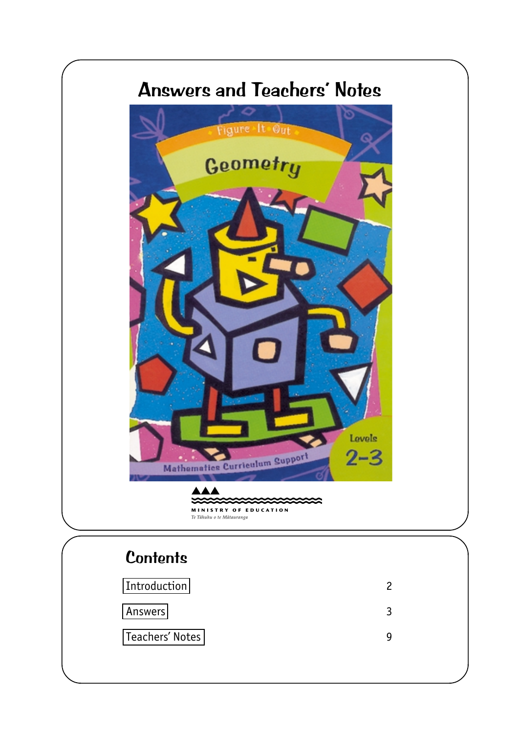

# **Contents**

| Introduction    |  |
|-----------------|--|
| Answers         |  |
| Teachers' Notes |  |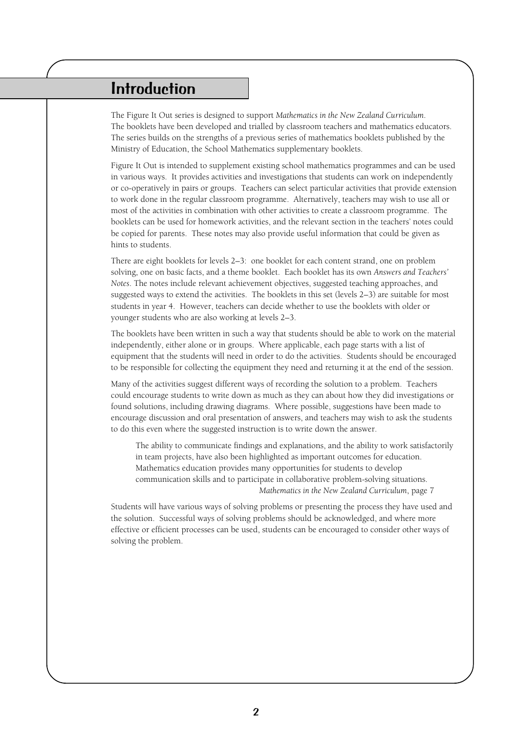## <span id="page-1-0"></span>Introduction

The Figure It Out series is designed to support *Mathematics in the New Zealand Curriculum*. The booklets have been developed and trialled by classroom teachers and mathematics educators. The series builds on the strengths of a previous series of mathematics booklets published by the Ministry of Education, the School Mathematics supplementary booklets.

Figure It Out is intended to supplement existing school mathematics programmes and can be used in various ways. It provides activities and investigations that students can work on independently or co-operatively in pairs or groups. Teachers can select particular activities that provide extension to work done in the regular classroom programme. Alternatively, teachers may wish to use all or most of the activities in combination with other activities to create a classroom programme. The booklets can be used for homework activities, and the relevant section in the teachers' notes could be copied for parents. These notes may also provide useful information that could be given as hints to students.

There are eight booklets for levels 2–3: one booklet for each content strand, one on problem solving, one on basic facts, and a theme booklet. Each booklet has its own *Answers and Teachers' Notes*. The notes include relevant achievement objectives, suggested teaching approaches, and suggested ways to extend the activities. The booklets in this set (levels 2–3) are suitable for most students in year 4. However, teachers can decide whether to use the booklets with older or younger students who are also working at levels 2–3.

The booklets have been written in such a way that students should be able to work on the material independently, either alone or in groups. Where applicable, each page starts with a list of equipment that the students will need in order to do the activities. Students should be encouraged to be responsible for collecting the equipment they need and returning it at the end of the session.

Many of the activities suggest different ways of recording the solution to a problem. Teachers could encourage students to write down as much as they can about how they did investigations or found solutions, including drawing diagrams. Where possible, suggestions have been made to encourage discussion and oral presentation of answers, and teachers may wish to ask the students to do this even where the suggested instruction is to write down the answer.

The ability to communicate findings and explanations, and the ability to work satisfactorily in team projects, have also been highlighted as important outcomes for education. Mathematics education provides many opportunities for students to develop communication skills and to participate in collaborative problem-solving situations. *Mathematics in the New Zealand Curriculum*, page 7

Students will have various ways of solving problems or presenting the process they have used and the solution. Successful ways of solving problems should be acknowledged, and where more effective or efficient processes can be used, students can be encouraged to consider other ways of solving the problem.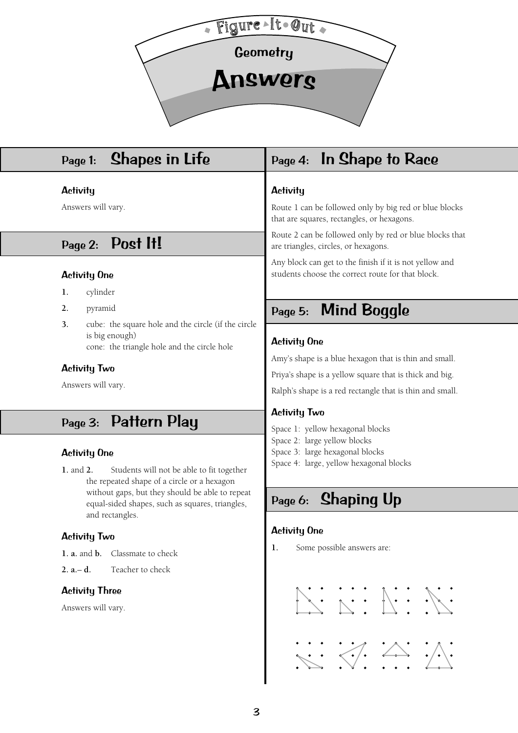<span id="page-2-0"></span>

## Page 1: Shapes in Life

## **Activity**

Answers will vary.

# Page 2: Post It!

## Activity One

- **1.** cylinder
- **2.** pyramid
- **3.** cube: the square hole and the circle (if the circle is big enough) cone: the triangle hole and the circle hole

## Activity Two

Answers will vary.

## Page 3: Pattern Play

### Activity One

**1.** and **2.** Students will not be able to fit together the repeated shape of a circle or a hexagon without gaps, but they should be able to repeat equal-sided shapes, such as squares, triangles, and rectangles.

## Activity Two

**1. a.** and **b.** Classmate to check

**2. a.**– **d.** Teacher to check

## Activity Three

Answers will vary.

# Page 4: In Shape to Race

## **Activity**

Route 1 can be followed only by big red or blue blocks that are squares, rectangles, or hexagons.

Route 2 can be followed only by red or blue blocks that are triangles, circles, or hexagons.

Any block can get to the finish if it is not yellow and students choose the correct route for that block.

# Page 5: Mind Boggle

## Activity One

Amy's shape is a blue hexagon that is thin and small.

Priya's shape is a yellow square that is thick and big.

Ralph's shape is a red rectangle that is thin and small.

## Activity Two

- Space 1: yellow hexagonal blocks
- Space 2: large yellow blocks
- Space 3: large hexagonal blocks
- Space 4: large, yellow hexagonal blocks

# Page 6: Shaping Up

## Activity One

**1.** Some possible answers are:

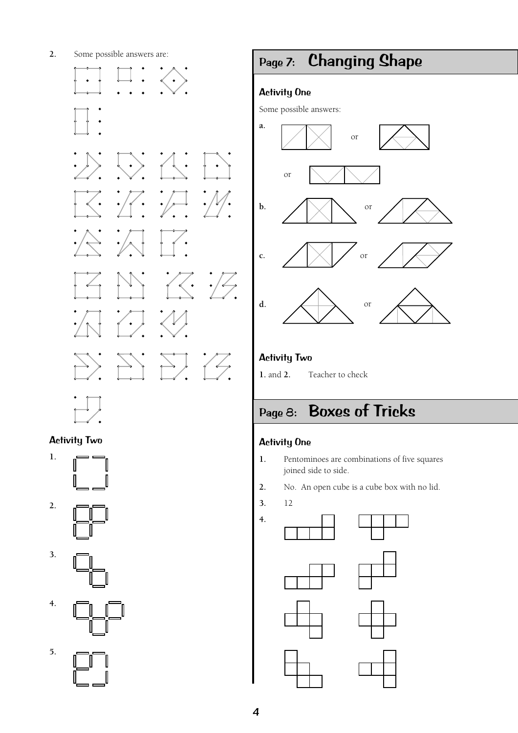**2.** Some possible answers are:



## Activity Two











# Page 7: Changing Shape

## Activity One

Some possible answers:



## Activity Two

**1.** and **2.** Teacher to check

# Page 8: Boxes of Tricks

## Activity One

- **1.** Pentominoes are combinations of five squares joined side to side.
- **2.** No. An open cube is a cube box with no lid.
- **3.** 12









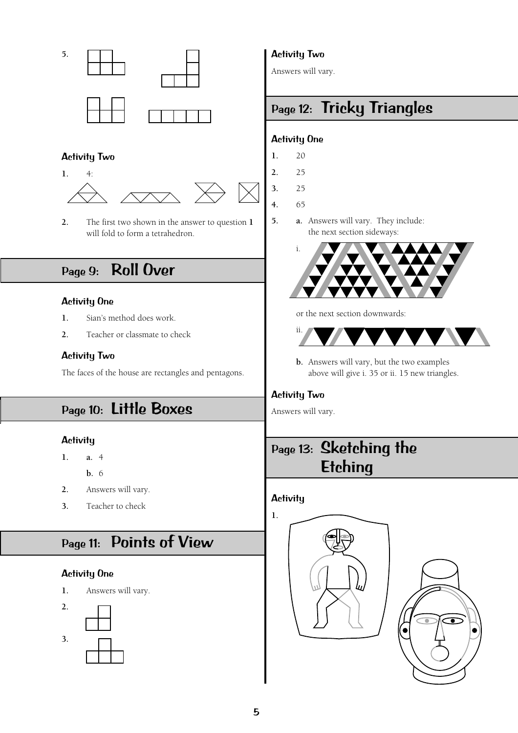

## Activity Two



**2.** The first two shown in the answer to question **1** will fold to form a tetrahedron.

# Page 9: Roll Over

### Activity One

- **1.** Sian's method does work.
- **2.** Teacher or classmate to check

#### Activity Two

The faces of the house are rectangles and pentagons.

## Page 10: Little Boxes

### **Activity**

- **1. a.** 4
	- **b.** 6
- **2.** Answers will vary.
- **3.** Teacher to check

# Page 11: Points of View

## Activity One

**1.** Answers will vary.



## Activity Two

Answers will vary.

# Page 12: Tricky Triangles

### Activity One

- **1.** 20
- **2.** 25
- **3.** 25
- **4.** 65
- **5. a.** Answers will vary. They include: the next section sideways:



or the next section downwards:



**b.** Answers will vary, but the two examples above will give i. 35 or ii. 15 new triangles.

## Activity Two

Answers will vary.

# Page 13: Sketching the **Etching**

## **Activity**

**1.**



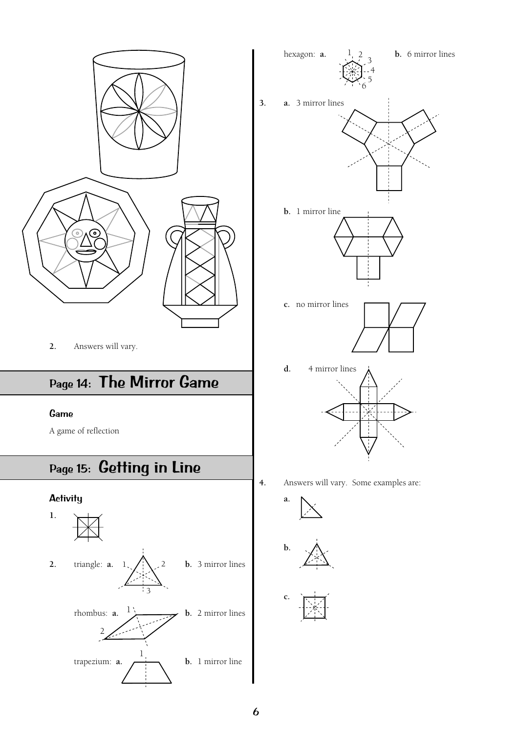

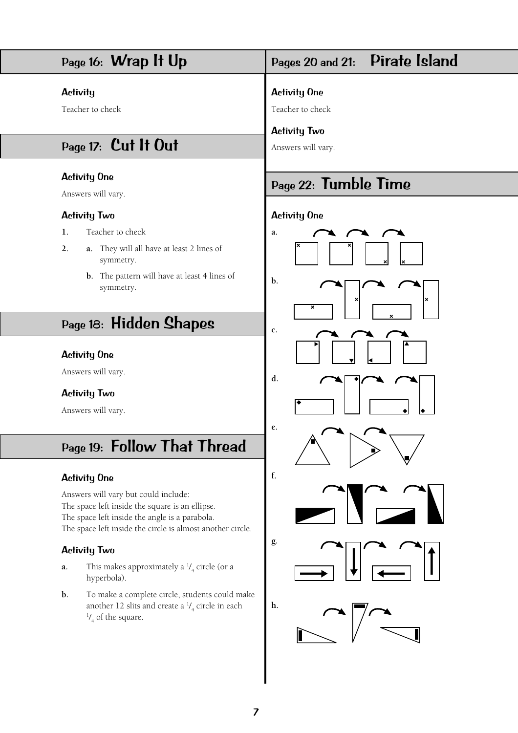

## 7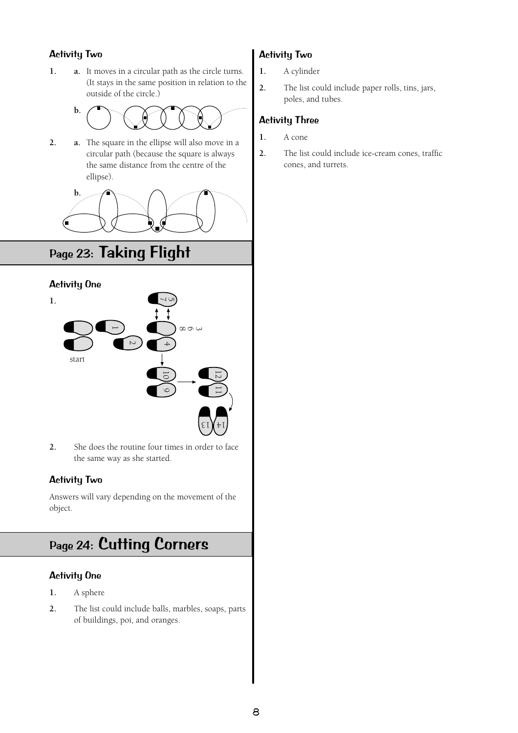## Activity Two

**1. a.** It moves in a circular path as the circle turns. (It stays in the same position in relation to the outside of the circle.)



**2. a.** The square in the ellipse will also move in a circular path (because the square is always the same distance from the centre of the ellipse).



# Page 23: Taking Flight

## Activity One



**2.** She does the routine four times in order to face the same way as she started.

## Activity Two

Answers will vary depending on the movement of the object.

# Page 24: Cutting Corners

## Activity One

- **1.** A sphere
- **2.** The list could include balls, marbles, soaps, parts of buildings, poi, and oranges.

## Activity Two

- **1.** A cylinder
- **2.** The list could include paper rolls, tins, jars, poles, and tubes.

## Activity Three

- **1.** A cone
- **2.** The list could include ice-cream cones, traffic cones, and turrets.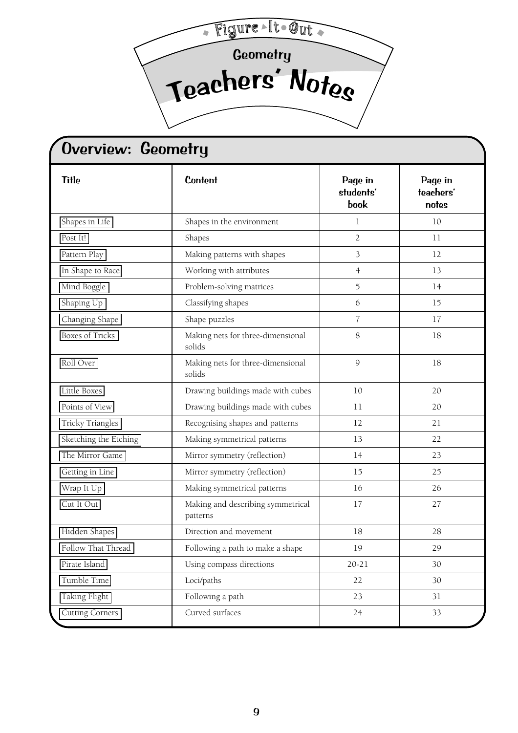<span id="page-8-0"></span>Geometry <sup>T</sup>e<sup>a</sup>cher<sup>s</sup> ' Note<sup>s</sup> Figure-It-Out

| <b>Title</b>           | <b>Content</b>                                | Page in<br>students'<br>book | Page in<br>teachers'<br>notes |  |
|------------------------|-----------------------------------------------|------------------------------|-------------------------------|--|
| Shapes in Life         | Shapes in the environment                     | 1                            | 10                            |  |
| Post It!               | Shapes                                        | $\overline{2}$               | 11                            |  |
| Pattern Play           | Making patterns with shapes                   | 3                            | 12                            |  |
| In Shape to Race       | Working with attributes                       | $\overline{4}$               | 13                            |  |
| Mind Boggle            | Problem-solving matrices                      | 5                            | 14                            |  |
| Shaping Up             | Classifying shapes                            | 6                            | 15                            |  |
| Changing Shape         | Shape puzzles                                 | $\overline{7}$               | 17                            |  |
| <b>Boxes of Tricks</b> | Making nets for three-dimensional<br>solids   | 8                            | 18                            |  |
| Roll Over              | Making nets for three-dimensional<br>solids   | 9                            | 18                            |  |
| Little Boxes           | Drawing buildings made with cubes             | 10                           | 20                            |  |
| Points of View         | Drawing buildings made with cubes             | 11                           | 20                            |  |
| Tricky Triangles       | Recognising shapes and patterns               | 12                           | 21                            |  |
| Sketching the Etching  | Making symmetrical patterns                   | 13                           | 22                            |  |
| The Mirror Game        | Mirror symmetry (reflection)                  | 14                           | 23                            |  |
| Getting in Line        | Mirror symmetry (reflection)                  | 15                           | 25                            |  |
| Wrap It Up             | Making symmetrical patterns                   | 16                           | 26                            |  |
| Cut It Out             | Making and describing symmetrical<br>patterns | 17                           | 27                            |  |
| Hidden Shapes          | Direction and movement                        | 18                           | 28                            |  |
| Follow That Thread     | Following a path to make a shape              | 19                           | 29                            |  |
| Pirate Island          | Using compass directions                      | $20 - 21$                    | 30                            |  |
| Tumble Time            | Loci/paths                                    | 22                           | 30                            |  |
| Taking Flight          | Following a path                              | 23                           | 31                            |  |
| <b>Cutting Corners</b> | Curved surfaces                               | 24                           | 33                            |  |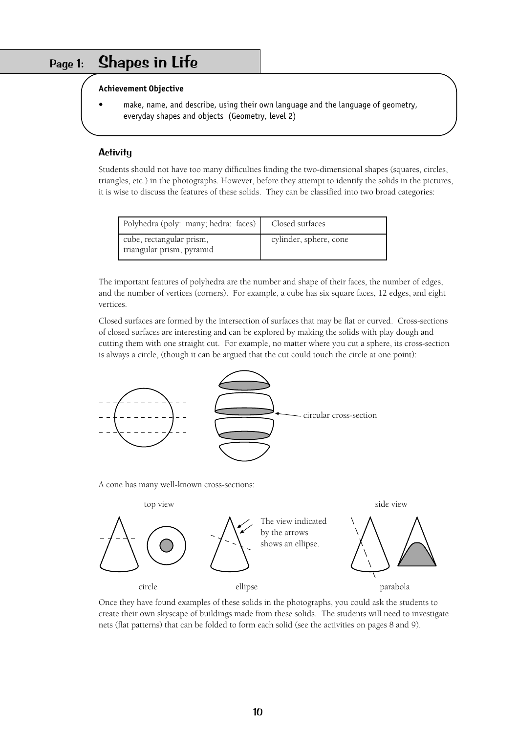## <span id="page-9-0"></span>Page 1: Shapes in Life

#### **Achievement Objective**

make, name, and describe, using their own language and the language of geometry, everyday shapes and objects (Geometry, level 2)

### **Activity**

Students should not have too many difficulties finding the two-dimensional shapes (squares, circles, triangles, etc.) in the photographs. However, before they attempt to identify the solids in the pictures, it is wise to discuss the features of these solids. They can be classified into two broad categories:

| Polyhedra (poly: many; hedra: faces)                  | Closed surfaces        |
|-------------------------------------------------------|------------------------|
| cube, rectangular prism,<br>triangular prism, pyramid | cylinder, sphere, cone |

The important features of polyhedra are the number and shape of their faces, the number of edges, and the number of vertices (corners). For example, a cube has six square faces, 12 edges, and eight vertices.

Closed surfaces are formed by the intersection of surfaces that may be flat or curved. Cross-sections of closed surfaces are interesting and can be explored by making the solids with play dough and cutting them with one straight cut. For example, no matter where you cut a sphere, its cross-section is always a circle, (though it can be argued that the cut could touch the circle at one point):



A cone has many well-known cross-sections:



Once they have found examples of these solids in the photographs, you could ask the students to create their own skyscape of buildings made from these solids. The students will need to investigate nets (flat patterns) that can be folded to form each solid (see the activities on pages 8 and 9).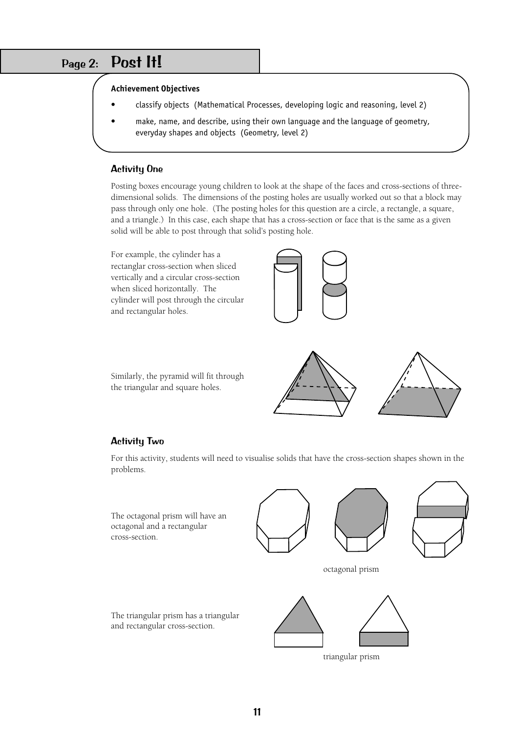## <span id="page-10-0"></span>Page 2: Post It!

#### **Achievement Objectives**

- classify objects (Mathematical Processes, developing logic and reasoning, level 2)
- make, name, and describe, using their own language and the language of geometry, everyday shapes and objects (Geometry, level 2)

#### Activity One

Posting boxes encourage young children to look at the shape of the faces and cross-sections of threedimensional solids. The dimensions of the posting holes are usually worked out so that a block may pass through only one hole. (The posting holes for this question are a circle, a rectangle, a square, and a triangle.) In this case, each shape that has a cross-section or face that is the same as a given solid will be able to post through that solid's posting hole.

For example, the cylinder has a rectanglar cross-section when sliced vertically and a circular cross-section when sliced horizontally. The cylinder will post through the circular and rectangular holes.



Similarly, the pyramid will fit through the triangular and square holes.



#### Activity Two

For this activity, students will need to visualise solids that have the cross-section shapes shown in the problems.

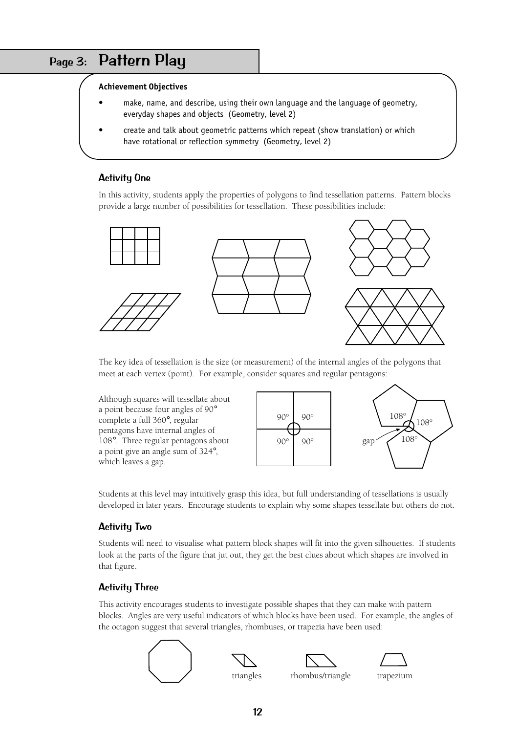## <span id="page-11-0"></span>Page 3: Pattern Play

### **Achievement Objectives**

- make, name, and describe, using their own language and the language of geometry, everyday shapes and objects (Geometry, level 2)
- create and talk about geometric patterns which repeat (show translation) or which have rotational or reflection symmetry (Geometry, level 2)

### Activity One

In this activity, students apply the properties of polygons to find tessellation patterns. Pattern blocks provide a large number of possibilities for tessellation. These possibilities include:



The key idea of tessellation is the size (or measurement) of the internal angles of the polygons that meet at each vertex (point). For example, consider squares and regular pentagons:





Students at this level may intuitively grasp this idea, but full understanding of tessellations is usually developed in later years. Encourage students to explain why some shapes tessellate but others do not.

### Activity Two

Students will need to visualise what pattern block shapes will fit into the given silhouettes. If students look at the parts of the figure that jut out, they get the best clues about which shapes are involved in that figure.

## Activity Three

This activity encourages students to investigate possible shapes that they can make with pattern blocks. Angles are very useful indicators of which blocks have been used. For example, the angles of the octagon suggest that several triangles, rhombuses, or trapezia have been used:

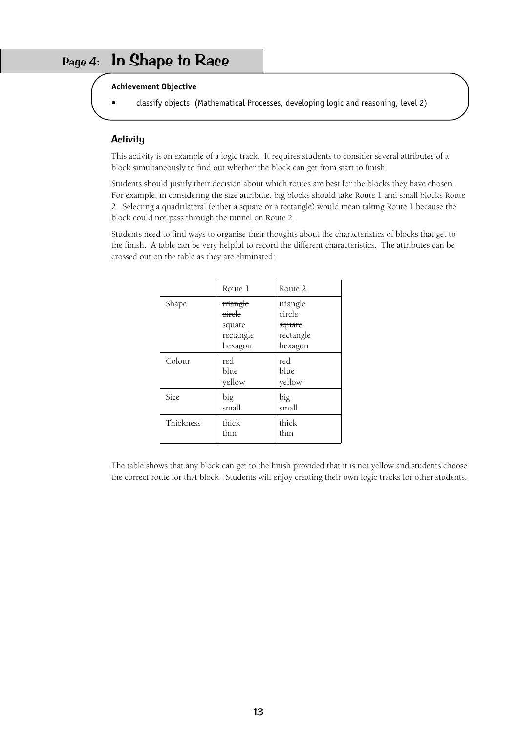## <span id="page-12-0"></span>Page 4: In Shape to Race

#### **Achievement Objective**

• classify objects (Mathematical Processes, developing logic and reasoning, level 2)

#### **Activity**

This activity is an example of a logic track. It requires students to consider several attributes of a block simultaneously to find out whether the block can get from start to finish.

Students should justify their decision about which routes are best for the blocks they have chosen. For example, in considering the size attribute, big blocks should take Route 1 and small blocks Route 2. Selecting a quadrilateral (either a square or a rectangle) would mean taking Route 1 because the block could not pass through the tunnel on Route 2.

Students need to find ways to organise their thoughts about the characteristics of blocks that get to the finish. A table can be very helpful to record the different characteristics. The attributes can be crossed out on the table as they are eliminated:

|           | Route 1                                                         | Route 2                                                         |
|-----------|-----------------------------------------------------------------|-----------------------------------------------------------------|
| Shape     | triangle<br><del>circle</del><br>square<br>rectangle<br>hexagon | triangle<br>circle<br>square<br><del>rectangle</del><br>hexagon |
| Colour    | red<br>blue<br>yellow                                           | red<br>blue<br>yellow                                           |
| Size.     | big<br>small                                                    | big<br>small                                                    |
| Thickness | thick<br>thin                                                   | thick<br>thin                                                   |

The table shows that any block can get to the finish provided that it is not yellow and students choose the correct route for that block. Students will enjoy creating their own logic tracks for other students.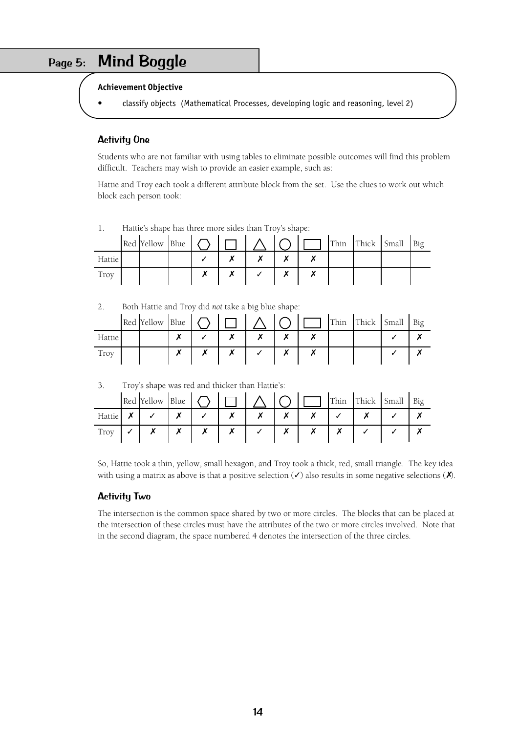# <span id="page-13-0"></span>Page 5: Mind Boggle

#### **Achievement Objective**

• classify objects (Mathematical Processes, developing logic and reasoning, level 2)

### Activity One

Students who are not familiar with using tables to eliminate possible outcomes will find this problem difficult. Teachers may wish to provide an easier example, such as:

Hattie and Troy each took a different attribute block from the set. Use the clues to work out which block each person took:

|        | $ Red$ [Yellow  Blue   $\bigcap$   $\bigcap$   $\bigwedge$   $\bigcap$ |  |  |  |  | Thin Thick Small | Big |
|--------|------------------------------------------------------------------------|--|--|--|--|------------------|-----|
| Hattie |                                                                        |  |  |  |  |                  |     |
| Troy   |                                                                        |  |  |  |  |                  |     |

1. Hattie's shape has three more sides than Troy's shape:

2. Both Hattie and Troy did *not* take a big blue shape:

|        | Red Yellow Blue |  |  |  | Thin | Thick Small | Big |
|--------|-----------------|--|--|--|------|-------------|-----|
| Hattie |                 |  |  |  |      |             |     |
| Troy   |                 |  |  |  |      |             |     |

#### 3. Troy's shape was red and thicker than Hattie's:

|        | Red Yellow | Blue                     |  |           |  | Thin | Thick Small | Big |
|--------|------------|--------------------------|--|-----------|--|------|-------------|-----|
| Hattie |            | $\overline{\phantom{a}}$ |  | $\bullet$ |  |      |             |     |
| Troy   |            | $\overline{\phantom{a}}$ |  |           |  |      |             |     |

So, Hattie took a thin, yellow, small hexagon, and Troy took a thick, red, small triangle. The key idea with using a matrix as above is that a positive selection  $(\checkmark)$  also results in some negative selections  $(\checkmark)$ .

#### Activity Two

The intersection is the common space shared by two or more circles. The blocks that can be placed at the intersection of these circles must have the attributes of the two or more circles involved. Note that in the second diagram, the space numbered 4 denotes the intersection of the three circles.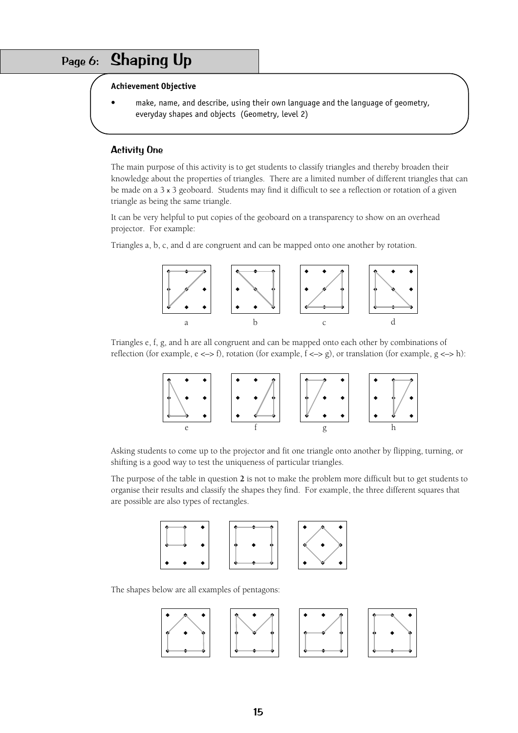# <span id="page-14-0"></span>Page 6: Shaping Up

#### **Achievement Objective**

make, name, and describe, using their own language and the language of geometry, everyday shapes and objects (Geometry, level 2)

#### Activity One

The main purpose of this activity is to get students to classify triangles and thereby broaden their knowledge about the properties of triangles. There are a limited number of different triangles that can be made on a 3 x 3 geoboard. Students may find it difficult to see a reflection or rotation of a given triangle as being the same triangle.

It can be very helpful to put copies of the geoboard on a transparency to show on an overhead projector. For example:

Triangles a, b, c, and d are congruent and can be mapped onto one another by rotation.



Triangles e, f, g, and h are all congruent and can be mapped onto each other by combinations of reflection (for example, e <–> f), rotation (for example, f <–> g), or translation (for example, g <–> h):



Asking students to come up to the projector and fit one triangle onto another by flipping, turning, or shifting is a good way to test the uniqueness of particular triangles.

The purpose of the table in question **2** is not to make the problem more difficult but to get students to organise their results and classify the shapes they find. For example, the three different squares that are possible are also types of rectangles.



The shapes below are all examples of pentagons:

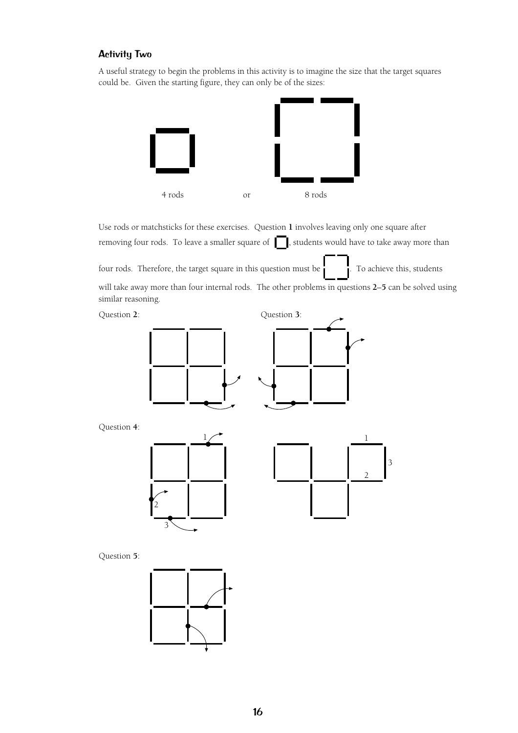### Activity Two

A useful strategy to begin the problems in this activity is to imagine the size that the target squares could be. Given the starting figure, they can only be of the sizes:



Use rods or matchsticks for these exercises. Question **1** involves leaving only one square after removing four rods. To leave a smaller square of  $\Box$ , students would have to take away more than

four rods. Therefore, the target square in this question must be  $\cdot$  . To achieve this, students will take away more than four internal rods. The other problems in questions **2**–**5** can be solved using similar reasoning.





Question **4**:





Question **5**:

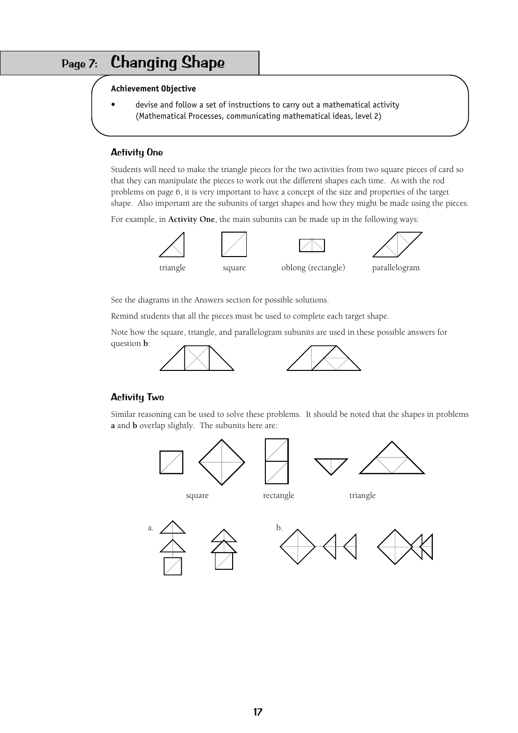# <span id="page-16-0"></span>Page 7: Changing Shape

#### **Achievement Objective**

• devise and follow a set of instructions to carry out a mathematical activity (Mathematical Processes, communicating mathematical ideas, level 2)

#### Activity One

Students will need to make the triangle pieces for the two activities from two square pieces of card so that they can manipulate the pieces to work out the different shapes each time. As with the rod problems on page 6, it is very important to have a concept of the size and properties of the target shape. Also important are the subunits of target shapes and how they might be made using the pieces.

For example, in **Activity One**, the main subunits can be made up in the following ways:





See the diagrams in the Answers section for possible solutions.

Remind students that all the pieces must be used to complete each target shape.

Note how the square, triangle, and parallelogram subunits are used in these possible answers for question **b**:



### Activity Two

Similar reasoning can be used to solve these problems. It should be noted that the shapes in problems **a** and **b** overlap slightly. The subunits here are:

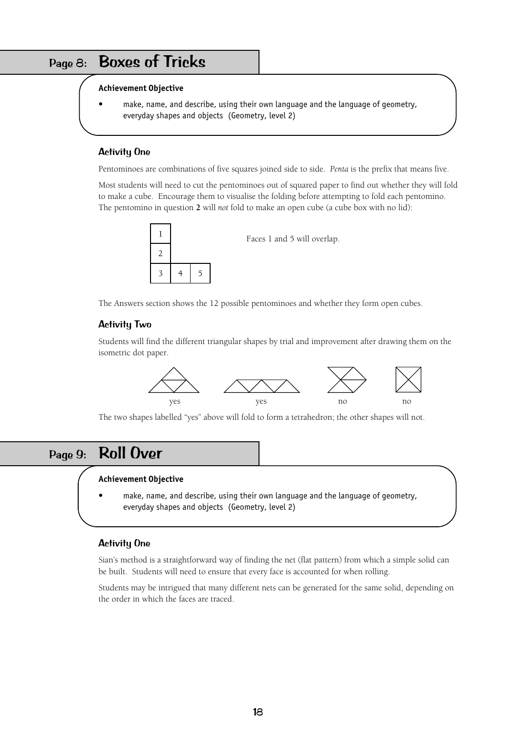# <span id="page-17-0"></span>Page 8: Boxes of Tricks

#### **Achievement Objective**

make, name, and describe, using their own language and the language of geometry, everyday shapes and objects (Geometry, level 2)

### Activity One

Pentominoes are combinations of five squares joined side to side. *Penta* is the prefix that means five.

Most students will need to cut the pentominoes out of squared paper to find out whether they will fold to make a cube. Encourage them to visualise the folding before attempting to fold each pentomino. The pentomino in question **2** will *not* fold to make an open cube (a cube box with no lid):



Faces 1 and 5 will overlap.

The Answers section shows the 12 possible pentominoes and whether they form open cubes.

#### Activity Two

Students will find the different triangular shapes by trial and improvement after drawing them on the isometric dot paper.



The two shapes labelled "yes" above will fold to form a tetrahedron; the other shapes will not.

## <span id="page-17-1"></span>Page 9: Roll Over

#### **Achievement Objective**

make, name, and describe, using their own language and the language of geometry, everyday shapes and objects (Geometry, level 2)

#### Activity One

Sian's method is a straightforward way of finding the net (flat pattern) from which a simple solid can be built. Students will need to ensure that every face is accounted for when rolling.

Students may be intrigued that many different nets can be generated for the same solid, depending on the order in which the faces are traced.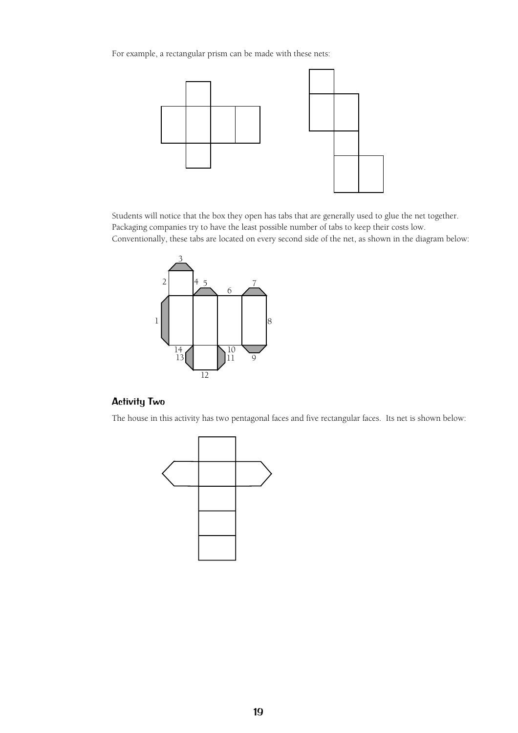For example, a rectangular prism can be made with these nets:



Students will notice that the box they open has tabs that are generally used to glue the net together. Packaging companies try to have the least possible number of tabs to keep their costs low. Conventionally, these tabs are located on every second side of the net, as shown in the diagram below:



## Activity Two

The house in this activity has two pentagonal faces and five rectangular faces. Its net is shown below:

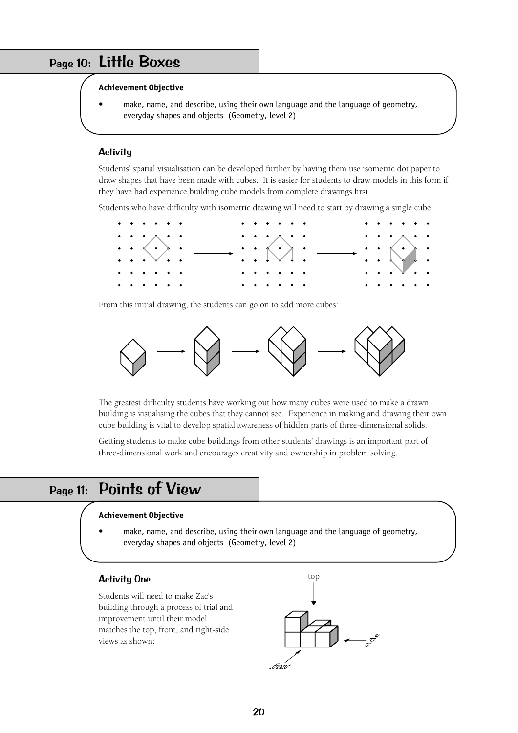## <span id="page-19-0"></span>Page 10: Little Boxes

#### **Achievement Objective**

make, name, and describe, using their own language and the language of geometry, everyday shapes and objects (Geometry, level 2)

#### **Activitu**

Students' spatial visualisation can be developed further by having them use isometric dot paper to draw shapes that have been made with cubes. It is easier for students to draw models in this form if they have had experience building cube models from complete drawings first.

Students who have difficulty with isometric drawing will need to start by drawing a single cube:



From this initial drawing, the students can go on to add more cubes:



The greatest difficulty students have working out how many cubes were used to make a drawn building is visualising the cubes that they cannot see. Experience in making and drawing their own cube building is vital to develop spatial awareness of hidden parts of three-dimensional solids.

Getting students to make cube buildings from other students' drawings is an important part of three-dimensional work and encourages creativity and ownership in problem solving.

## <span id="page-19-1"></span>Page 11: Points of View

#### **Achievement Objective**

make, name, and describe, using their own language and the language of geometry, everyday shapes and objects (Geometry, level 2)

#### Activity One

Students will need to make Zac's building through a process of trial and improvement until their model matches the top, front, and right-side views as shown:

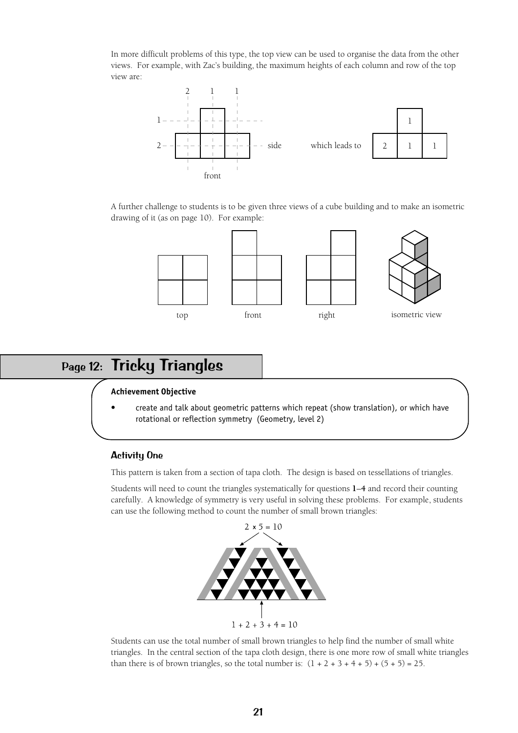In more difficult problems of this type, the top view can be used to organise the data from the other views. For example, with Zac's building, the maximum heights of each column and row of the top view are:



A further challenge to students is to be given three views of a cube building and to make an isometric drawing of it (as on page 10). For example:



## <span id="page-20-0"></span>Page 12: Tricky Triangles

#### **Achievement Objective**

• create and talk about geometric patterns which repeat (show translation), or which have rotational or reflection symmetry (Geometry, level 2)

#### Activity One

This pattern is taken from a section of tapa cloth. The design is based on tessellations of triangles.

Students will need to count the triangles systematically for questions **1**–**4** and record their counting carefully. A knowledge of symmetry is very useful in solving these problems. For example, students can use the following method to count the number of small brown triangles:



Students can use the total number of small brown triangles to help find the number of small white triangles. In the central section of the tapa cloth design, there is one more row of small white triangles than there is of brown triangles, so the total number is:  $(1 + 2 + 3 + 4 + 5) + (5 + 5) = 25$ .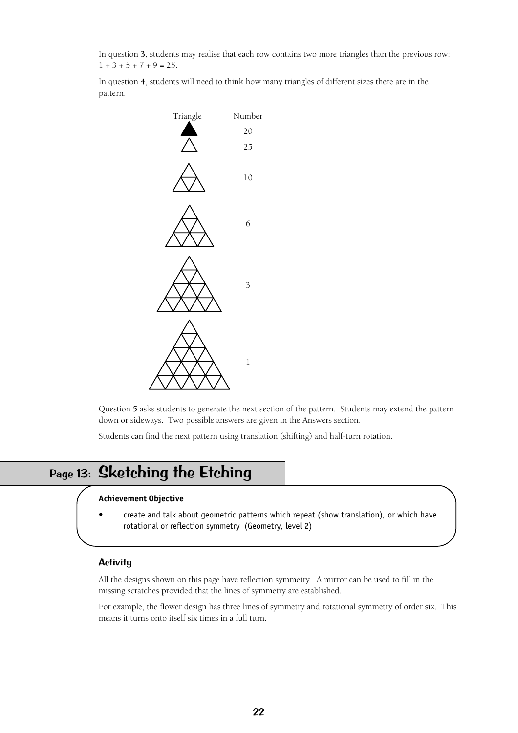In question **3**, students may realise that each row contains two more triangles than the previous row:  $1 + 3 + 5 + 7 + 9 = 25$ .

In question **4**, students will need to think how many triangles of different sizes there are in the pattern.



Question **5** asks students to generate the next section of the pattern. Students may extend the pattern down or sideways. Two possible answers are given in the Answers section.

Students can find the next pattern using translation (shifting) and half-turn rotation.

# <span id="page-21-0"></span>Page 13: Sketching the Etching

#### **Achievement Objective**

• create and talk about geometric patterns which repeat (show translation), or which have rotational or reflection symmetry (Geometry, level 2)

#### **Activity**

All the designs shown on this page have reflection symmetry. A mirror can be used to fill in the missing scratches provided that the lines of symmetry are established.

For example, the flower design has three lines of symmetry and rotational symmetry of order six. This means it turns onto itself six times in a full turn.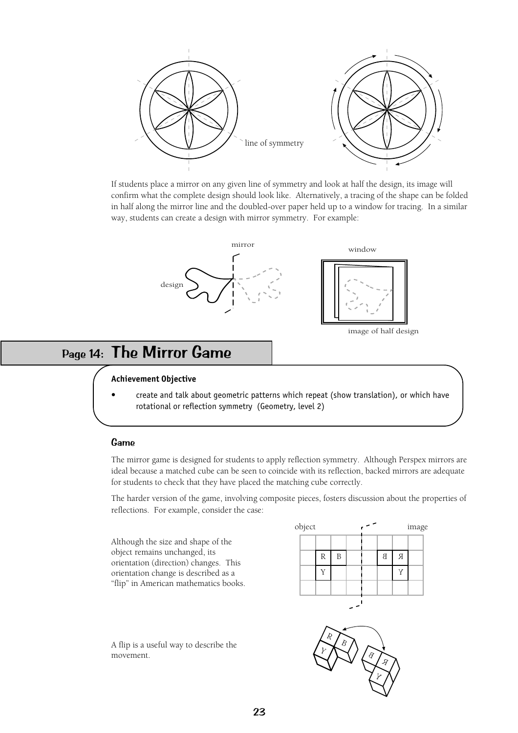

If students place a mirror on any given line of symmetry and look at half the design, its image will confirm what the complete design should look like. Alternatively, a tracing of the shape can be folded in half along the mirror line and the doubled-over paper held up to a window for tracing. In a similar way, students can create a design with mirror symmetry. For example:



# <span id="page-22-0"></span>Page 14: The Mirror Game

#### **Achievement Objective**

• create and talk about geometric patterns which repeat (show translation), or which have rotational or reflection symmetry (Geometry, level 2)

#### Game

The mirror game is designed for students to apply reflection symmetry. Although Perspex mirrors are ideal because a matched cube can be seen to coincide with its reflection, backed mirrors are adequate for students to check that they have placed the matching cube correctly.

The harder version of the game, involving composite pieces, fosters discussion about the properties of reflections. For example, consider the case:

Although the size and shape of the object remains unchanged, its orientation (direction) changes. This orientation change is described as a "flip" in American mathematics books.

A flip is a useful way to describe the movement.



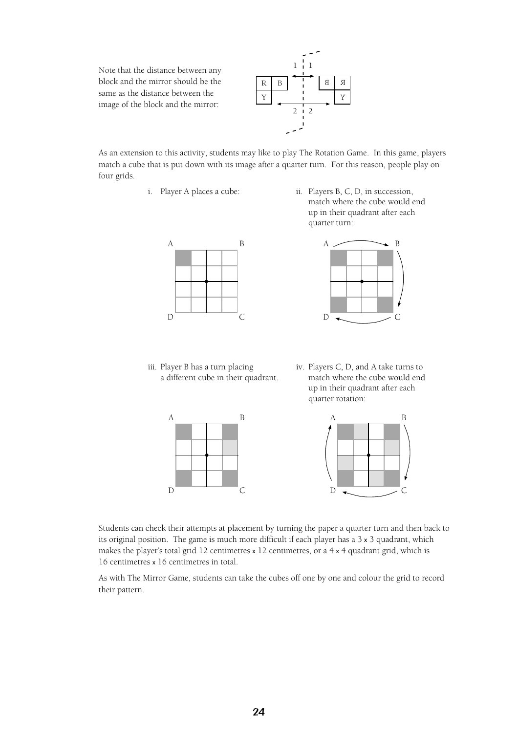Note that the distance between any block and the mirror should be the same as the distance between the image of the block and the mirror:



As an extension to this activity, students may like to play The Rotation Game. In this game, players match a cube that is put down with its image after a quarter turn. For this reason, people play on four grids.



a different cube in their quadrant.

i. Player A places a cube: ii. Players B, C, D, in succession, match where the cube would end up in their quadrant after each quarter turn:



iii. Player B has a turn placing iv. Players C, D, and A take turns to a different cube in their quadrant. match where the cube would end up in their quadrant after each quarter rotation:





Students can check their attempts at placement by turning the paper a quarter turn and then back to its original position. The game is much more difficult if each player has a  $3 \times 3$  quadrant, which makes the player's total grid 12 centimetres x 12 centimetres, or a 4 x 4 quadrant grid, which is 16 centimetres x 16 centimetres in total.

As with The Mirror Game, students can take the cubes off one by one and colour the grid to record their pattern.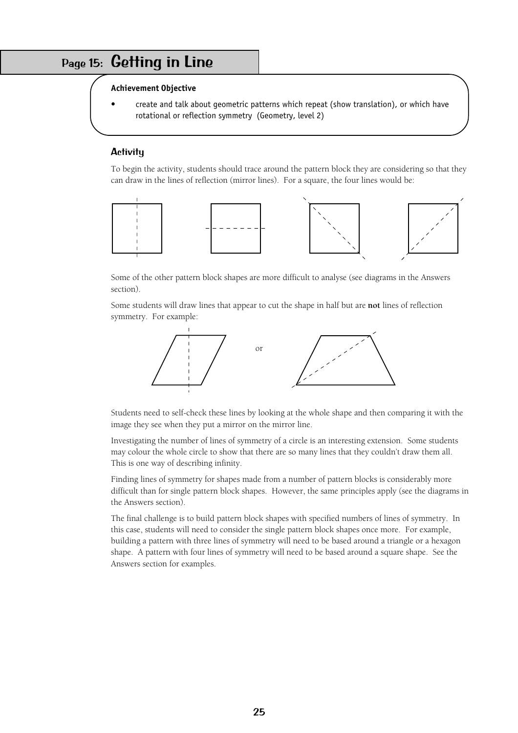## <span id="page-24-0"></span>Page 15: Getting in Line

#### **Achievement Objective**

• create and talk about geometric patterns which repeat (show translation), or which have rotational or reflection symmetry (Geometry, level 2)

#### **Activity**

To begin the activity, students should trace around the pattern block they are considering so that they can draw in the lines of reflection (mirror lines). For a square, the four lines would be:



Some of the other pattern block shapes are more difficult to analyse (see diagrams in the Answers section).

Some students will draw lines that appear to cut the shape in half but are **not** lines of reflection symmetry. For example:



Students need to self-check these lines by looking at the whole shape and then comparing it with the image they see when they put a mirror on the mirror line.

Investigating the number of lines of symmetry of a circle is an interesting extension. Some students may colour the whole circle to show that there are so many lines that they couldn't draw them all. This is one way of describing infinity.

Finding lines of symmetry for shapes made from a number of pattern blocks is considerably more difficult than for single pattern block shapes. However, the same principles apply (see the diagrams in the Answers section).

The final challenge is to build pattern block shapes with specified numbers of lines of symmetry. In this case, students will need to consider the single pattern block shapes once more. For example, building a pattern with three lines of symmetry will need to be based around a triangle or a hexagon shape. A pattern with four lines of symmetry will need to be based around a square shape. See the Answers section for examples.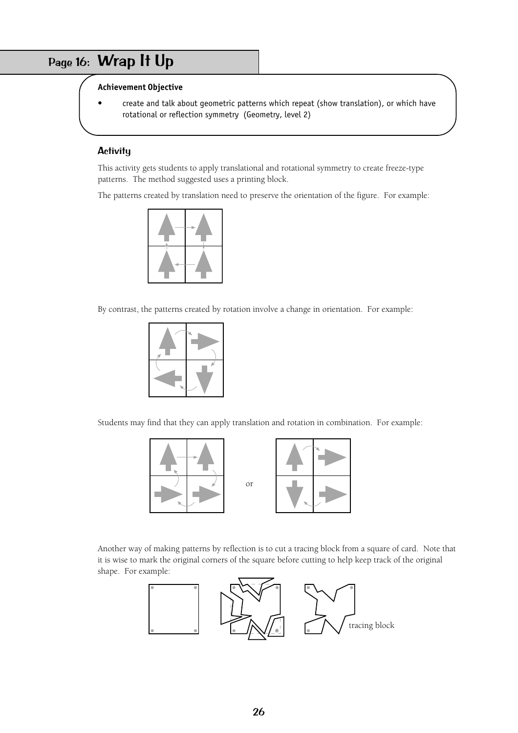# <span id="page-25-0"></span>Page 16: Wrap It Up

## **Achievement Objective**

• create and talk about geometric patterns which repeat (show translation), or which have rotational or reflection symmetry (Geometry, level 2)

### **Activity**

This activity gets students to apply translational and rotational symmetry to create freeze-type patterns. The method suggested uses a printing block.

The patterns created by translation need to preserve the orientation of the figure. For example:



By contrast, the patterns created by rotation involve a change in orientation. For example:



Students may find that they can apply translation and rotation in combination. For example:



Another way of making patterns by reflection is to cut a tracing block from a square of card. Note that it is wise to mark the original corners of the square before cutting to help keep track of the original shape. For example:

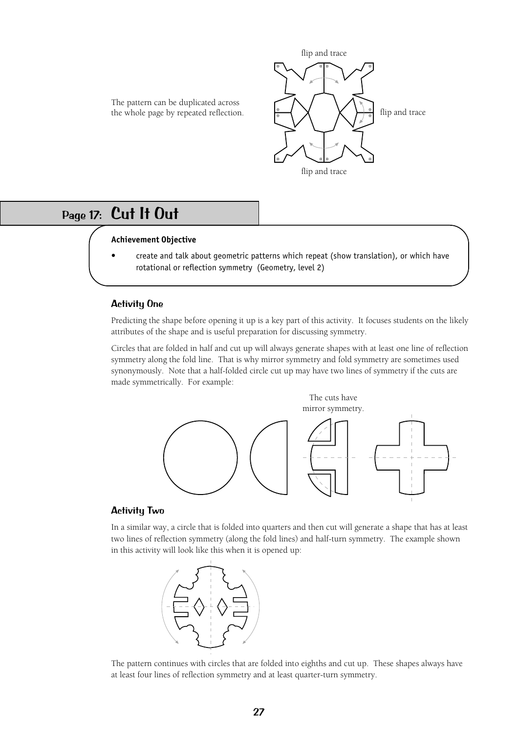

The pattern can be duplicated across the whole page by repeated reflection.

## <span id="page-26-0"></span>Page 17: Cut It Out

#### **Achievement Objective**

• create and talk about geometric patterns which repeat (show translation), or which have rotational or reflection symmetry (Geometry, level 2)

#### Activity One

Predicting the shape before opening it up is a key part of this activity. It focuses students on the likely attributes of the shape and is useful preparation for discussing symmetry.

Circles that are folded in half and cut up will always generate shapes with at least one line of reflection symmetry along the fold line. That is why mirror symmetry and fold symmetry are sometimes used synonymously. Note that a half-folded circle cut up may have two lines of symmetry if the cuts are made symmetrically. For example:



#### Activity Two

In a similar way, a circle that is folded into quarters and then cut will generate a shape that has at least two lines of reflection symmetry (along the fold lines) and half-turn symmetry. The example shown in this activity will look like this when it is opened up:



The pattern continues with circles that are folded into eighths and cut up. These shapes always have at least four lines of reflection symmetry and at least quarter-turn symmetry.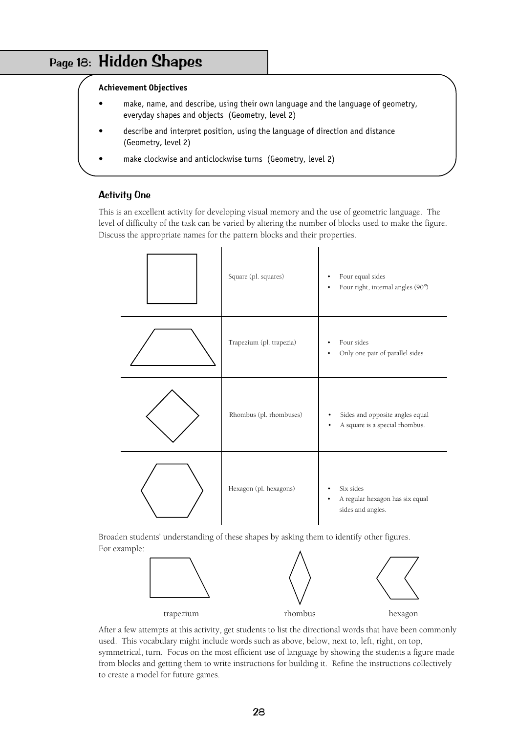# <span id="page-27-0"></span>Page 18: Hidden Shapes

#### **Achievement Objectives**

- make, name, and describe, using their own language and the language of geometry, everyday shapes and objects (Geometry, level 2)
- describe and interpret position, using the language of direction and distance (Geometry, level 2)
- make clockwise and anticlockwise turns (Geometry, level 2)

## Activity One

This is an excellent activity for developing visual memory and the use of geometric language. The level of difficulty of the task can be varied by altering the number of blocks used to make the figure. Discuss the appropriate names for the pattern blocks and their properties.

| Square (pl. squares)     | Four equal sides<br>Four right, internal angles (90°)             |
|--------------------------|-------------------------------------------------------------------|
| Trapezium (pl. trapezia) | Four sides<br>Only one pair of parallel sides                     |
| Rhombus (pl. rhombuses)  | Sides and opposite angles equal<br>A square is a special rhombus. |
| Hexagon (pl. hexagons)   | Six sides<br>A regular hexagon has six equal<br>sides and angles. |

Broaden students' understanding of these shapes by asking them to identify other figures. For example:



After a few attempts at this activity, get students to list the directional words that have been commonly used. This vocabulary might include words such as above, below, next to, left, right, on top, symmetrical, turn. Focus on the most efficient use of language by showing the students a figure made from blocks and getting them to write instructions for building it. Refine the instructions collectively to create a model for future games.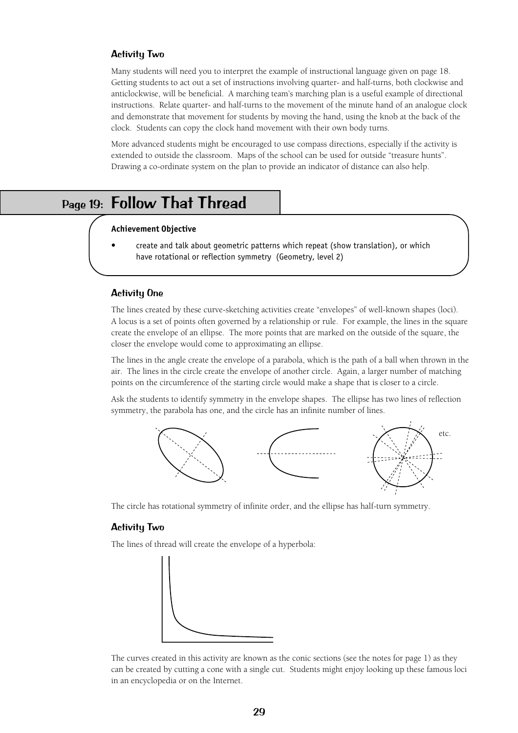#### Activity Two

Many students will need you to interpret the example of instructional language given on page 18. Getting students to act out a set of instructions involving quarter- and half-turns, both clockwise and anticlockwise, will be beneficial. A marching team's marching plan is a useful example of directional instructions. Relate quarter- and half-turns to the movement of the minute hand of an analogue clock and demonstrate that movement for students by moving the hand, using the knob at the back of the clock. Students can copy the clock hand movement with their own body turns.

More advanced students might be encouraged to use compass directions, especially if the activity is extended to outside the classroom. Maps of the school can be used for outside "treasure hunts". Drawing a co-ordinate system on the plan to provide an indicator of distance can also help.

## <span id="page-28-0"></span>Page 19: Follow That Thread

#### **Achievement Objective**

• create and talk about geometric patterns which repeat (show translation), or which have rotational or reflection symmetry (Geometry, level 2)

#### Activity One

The lines created by these curve-sketching activities create "envelopes" of well-known shapes (loci). A locus is a set of points often governed by a relationship or rule. For example, the lines in the square create the envelope of an ellipse. The more points that are marked on the outside of the square, the closer the envelope would come to approximating an ellipse.

The lines in the angle create the envelope of a parabola, which is the path of a ball when thrown in the air. The lines in the circle create the envelope of another circle. Again, a larger number of matching points on the circumference of the starting circle would make a shape that is closer to a circle.

Ask the students to identify symmetry in the envelope shapes. The ellipse has two lines of reflection symmetry, the parabola has one, and the circle has an infinite number of lines.



The circle has rotational symmetry of infinite order, and the ellipse has half-turn symmetry.

#### Activity Two

The lines of thread will create the envelope of a hyperbola:



The curves created in this activity are known as the conic sections (see the notes for page 1) as they can be created by cutting a cone with a single cut. Students might enjoy looking up these famous loci in an encyclopedia or on the Internet.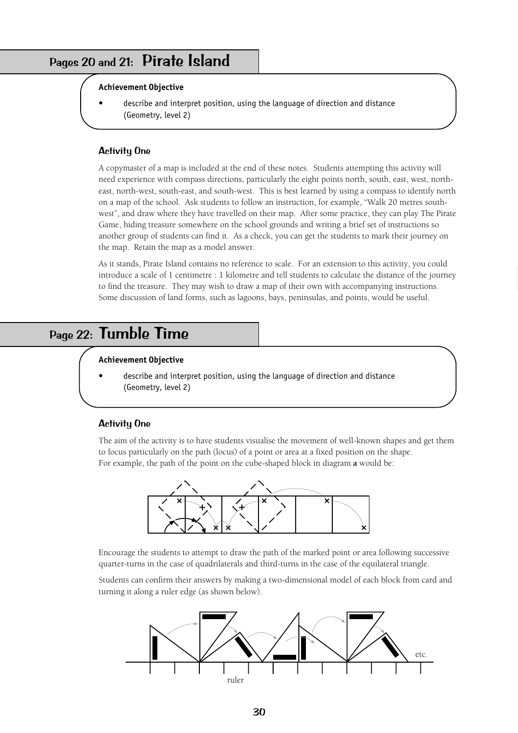# <span id="page-29-0"></span>Pages 20 and 21: Pirate Island

#### **Achievement Objective**

• describe and interpret position, using the language of direction and distance (Geometry, level 2)

#### Activity One

A copymaster of a map is included at the end of these notes. Students attempting this activity will need experience with compass directions, particularly the eight points north, south, east, west, northeast, north-west, south-east, and south-west. This is best learned by using a compass to identify north on a map of the school. Ask students to follow an instruction, for example, "Walk 20 metres southwest", and draw where they have travelled on their map. After some practice, they can play The Pirate Game, hiding treasure somewhere on the school grounds and writing a brief set of instructions so another group of students can find it. As a check, you can get the students to mark their journey on the map. Retain the map as a model answer.

As it stands, Pirate Island contains no reference to scale. For an extension to this activity, you could introduce a scale of 1 centimetre : 1 kilometre and tell students to calculate the distance of the journey to find the treasure. They may wish to draw a map of their own with accompanying instructions. Some discussion of land forms, such as lagoons, bays, peninsulas, and points, would be useful.

## <span id="page-29-1"></span>Page 22: Tumble Time

#### **Achievement Objective**

• describe and interpret position, using the language of direction and distance (Geometry, level 2)

#### Activity One

The aim of the activity is to have students visualise the movement of well-known shapes and get them to focus particularly on the path (locus) of a point or area at a fixed position on the shape. For example, the path of the point on the cube-shaped block in diagram **a** would be:



Encourage the students to attempt to draw the path of the marked point or area following successive quarter-turns in the case of quadrilaterals and third-turns in the case of the equilateral triangle.

Students can confirm their answers by making a two-dimensional model of each block from card and turning it along a ruler edge (as shown below).

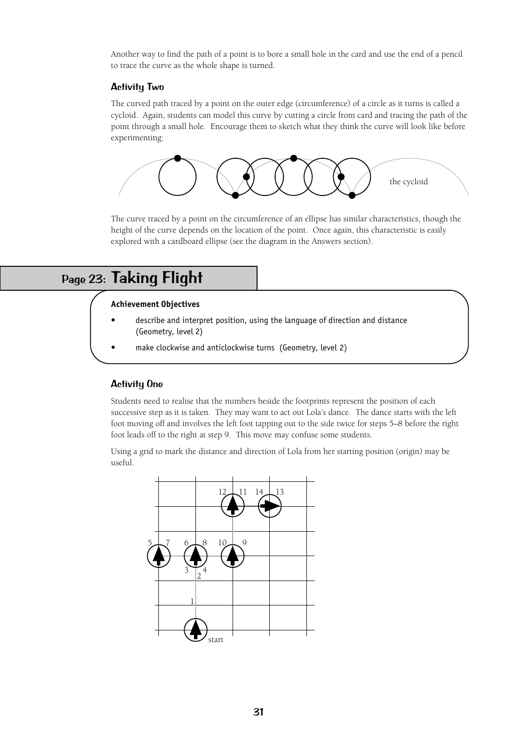Another way to find the path of a point is to bore a small hole in the card and use the end of a pencil to trace the curve as the whole shape is turned.

### Activity Two

The curved path traced by a point on the outer edge (circumference) of a circle as it turns is called a cycloid. Again, students can model this curve by cutting a circle from card and tracing the path of the point through a small hole. Encourage them to sketch what they think the curve will look like before experimenting:



The curve traced by a point on the circumference of an ellipse has similar characteristics, though the height of the curve depends on the location of the point. Once again, this characteristic is easily explored with a cardboard ellipse (see the diagram in the Answers section).

# <span id="page-30-0"></span>Page 23: Taking Flight

#### **Achievement Objectives**

- describe and interpret position, using the language of direction and distance (Geometry, level 2)
- make clockwise and anticlockwise turns (Geometry, level 2)

### Activity One

Students need to realise that the numbers beside the footprints represent the position of each successive step as it is taken. They may want to act out Lola's dance. The dance starts with the left foot moving off and involves the left foot tapping out to the side twice for steps 5–8 before the right foot leads off to the right at step 9. This move may confuse some students.

Using a grid to mark the distance and direction of Lola from her starting position (origin) may be useful.

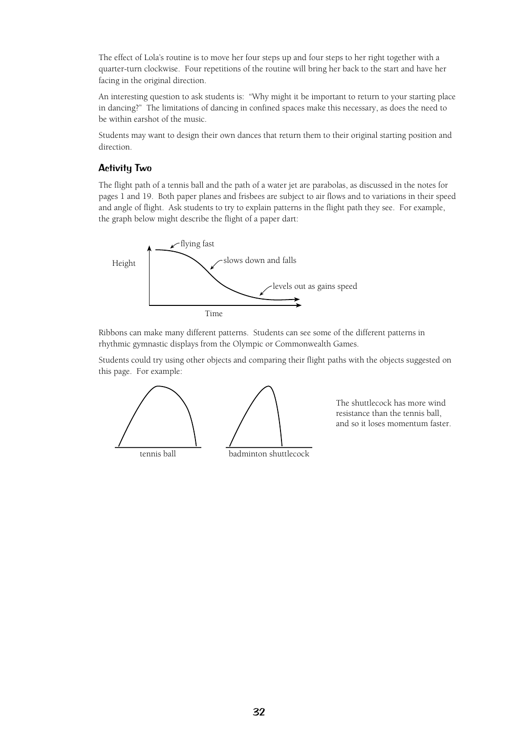The effect of Lola's routine is to move her four steps up and four steps to her right together with a quarter-turn clockwise. Four repetitions of the routine will bring her back to the start and have her facing in the original direction.

An interesting question to ask students is: "Why might it be important to return to your starting place in dancing?" The limitations of dancing in confined spaces make this necessary, as does the need to be within earshot of the music.

Students may want to design their own dances that return them to their original starting position and direction.

### Activity Two

The flight path of a tennis ball and the path of a water jet are parabolas, as discussed in the notes for pages 1 and 19. Both paper planes and frisbees are subject to air flows and to variations in their speed and angle of flight. Ask students to try to explain patterns in the flight path they see. For example, the graph below might describe the flight of a paper dart:



Ribbons can make many different patterns. Students can see some of the different patterns in rhythmic gymnastic displays from the Olympic or Commonwealth Games.

Students could try using other objects and comparing their flight paths with the objects suggested on this page. For example:



The shuttlecock has more wind resistance than the tennis ball, and so it loses momentum faster.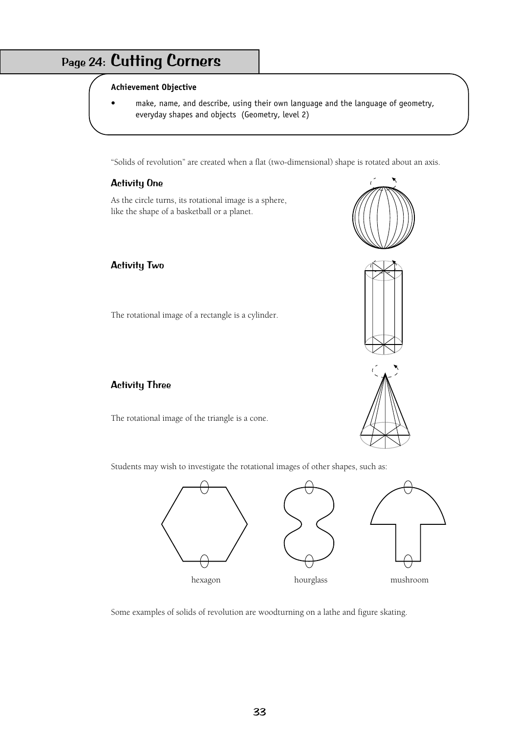# <span id="page-32-0"></span>Page 24: Cutting Corners

#### **Achievement Objective**

make, name, and describe, using their own language and the language of geometry, everyday shapes and objects (Geometry, level 2)

"Solids of revolution" are created when a flat (two-dimensional) shape is rotated about an axis.

## Activity One

As the circle turns, its rotational image is a sphere, like the shape of a basketball or a planet.

## Activity Two

The rotational image of a rectangle is a cylinder.







## Activity Three

The rotational image of the triangle is a cone.

Students may wish to investigate the rotational images of other shapes, such as:



Some examples of solids of revolution are woodturning on a lathe and figure skating.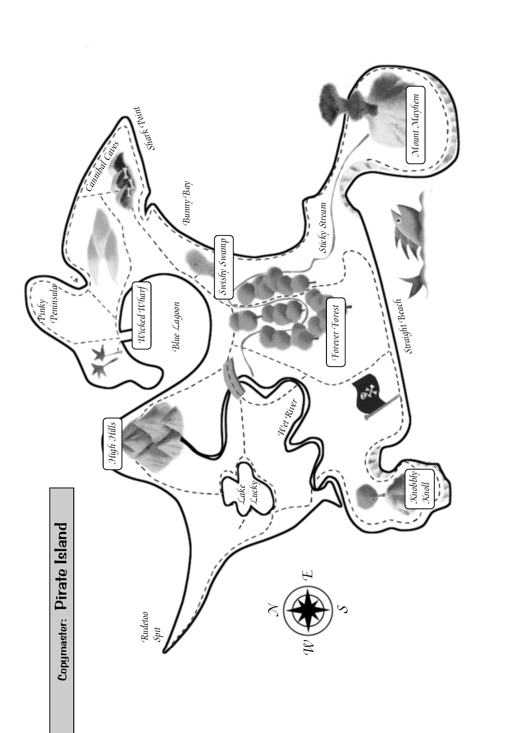